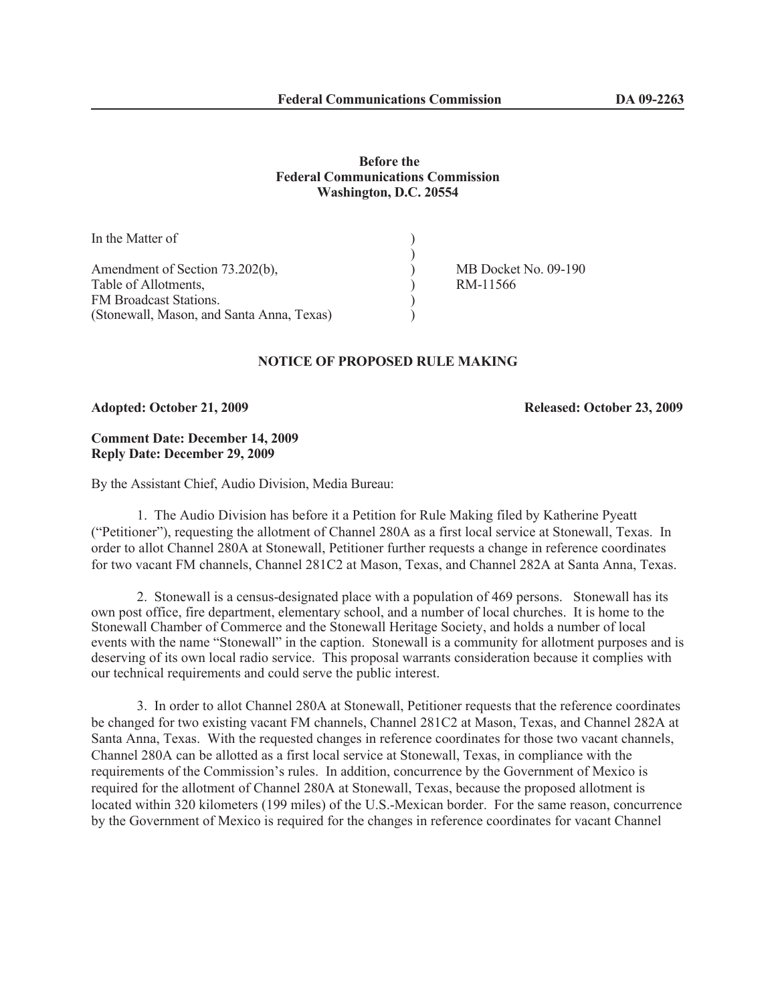# **Before the Federal Communications Commission Washington, D.C. 20554**

| In the Matter of                          |                      |
|-------------------------------------------|----------------------|
|                                           |                      |
| Amendment of Section 73.202(b),           | MB Docket No. 09-190 |
| Table of Allotments,                      | RM-11566             |
| <b>FM Broadcast Stations.</b>             |                      |
| (Stonewall, Mason, and Santa Anna, Texas) |                      |

## **NOTICE OF PROPOSED RULE MAKING**

#### **Adopted: October 21, 2009 Released: October 23, 2009**

## **Comment Date: December 14, 2009 Reply Date: December 29, 2009**

By the Assistant Chief, Audio Division, Media Bureau:

1. The Audio Division has before it a Petition for Rule Making filed by Katherine Pyeatt ("Petitioner"), requesting the allotment of Channel 280A as a first local service at Stonewall, Texas. In order to allot Channel 280A at Stonewall, Petitioner further requests a change in reference coordinates for two vacant FM channels, Channel 281C2 at Mason, Texas, and Channel 282A at Santa Anna, Texas.

2. Stonewall is a census-designated place with a population of 469 persons. Stonewall has its own post office, fire department, elementary school, and a number of local churches. It is home to the Stonewall Chamber of Commerce and the Stonewall Heritage Society, and holds a number of local events with the name "Stonewall" in the caption. Stonewall is a community for allotment purposes and is deserving of its own local radio service. This proposal warrants consideration because it complies with our technical requirements and could serve the public interest.

3. In order to allot Channel 280A at Stonewall, Petitioner requests that the reference coordinates be changed for two existing vacant FM channels, Channel 281C2 at Mason, Texas, and Channel 282A at Santa Anna, Texas. With the requested changes in reference coordinates for those two vacant channels, Channel 280A can be allotted as a first local service at Stonewall, Texas, in compliance with the requirements of the Commission's rules. In addition, concurrence by the Government of Mexico is required for the allotment of Channel 280A at Stonewall, Texas, because the proposed allotment is located within 320 kilometers (199 miles) of the U.S.-Mexican border. For the same reason, concurrence by the Government of Mexico is required for the changes in reference coordinates for vacant Channel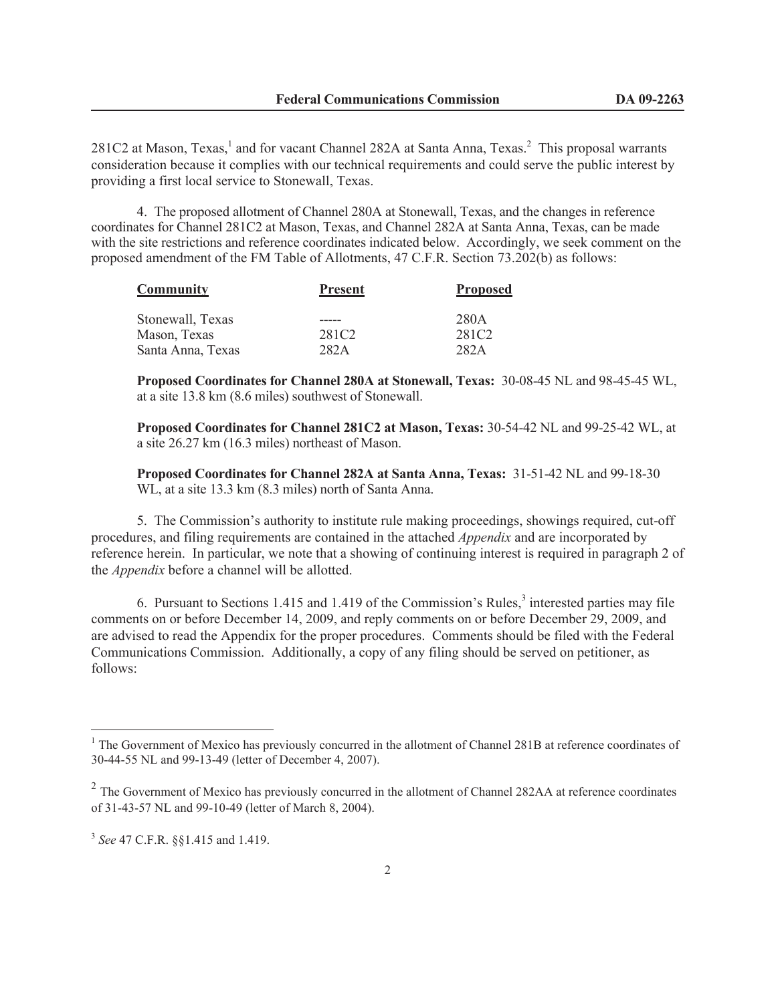281C2 at Mason, Texas, $<sup>1</sup>$  and for vacant Channel 282A at Santa Anna, Texas. $<sup>2</sup>$  This proposal warrants</sup></sup> consideration because it complies with our technical requirements and could serve the public interest by providing a first local service to Stonewall, Texas.

4. The proposed allotment of Channel 280A at Stonewall, Texas, and the changes in reference coordinates for Channel 281C2 at Mason, Texas, and Channel 282A at Santa Anna, Texas, can be made with the site restrictions and reference coordinates indicated below. Accordingly, we seek comment on the proposed amendment of the FM Table of Allotments, 47 C.F.R. Section 73.202(b) as follows:

| Community         | <b>Present</b>    | <b>Proposed</b>   |
|-------------------|-------------------|-------------------|
| Stonewall, Texas  |                   | 280A              |
| Mason, Texas      | 281C <sub>2</sub> | 281C <sub>2</sub> |
| Santa Anna, Texas | 282A              | 282A              |

**Proposed Coordinates for Channel 280A at Stonewall, Texas:** 30-08-45 NL and 98-45-45 WL, at a site 13.8 km (8.6 miles) southwest of Stonewall.

**Proposed Coordinates for Channel 281C2 at Mason, Texas:** 30-54-42 NL and 99-25-42 WL, at a site 26.27 km (16.3 miles) northeast of Mason.

**Proposed Coordinates for Channel 282A at Santa Anna, Texas:** 31-51-42 NL and 99-18-30 WL, at a site 13.3 km (8.3 miles) north of Santa Anna.

5. The Commission's authority to institute rule making proceedings, showings required, cut-off procedures, and filing requirements are contained in the attached *Appendix* and are incorporated by reference herein. In particular, we note that a showing of continuing interest is required in paragraph 2 of the *Appendix* before a channel will be allotted.

6. Pursuant to Sections 1.415 and 1.419 of the Commission's Rules, $3$  interested parties may file comments on or before December 14, 2009, and reply comments on or before December 29, 2009, and are advised to read the Appendix for the proper procedures. Comments should be filed with the Federal Communications Commission. Additionally, a copy of any filing should be served on petitioner, as follows:

<sup>&</sup>lt;sup>1</sup> The Government of Mexico has previously concurred in the allotment of Channel 281B at reference coordinates of 30-44-55 NL and 99-13-49 (letter of December 4, 2007).

<sup>&</sup>lt;sup>2</sup> The Government of Mexico has previously concurred in the allotment of Channel 282AA at reference coordinates of 31-43-57 NL and 99-10-49 (letter of March 8, 2004).

<sup>3</sup> *See* 47 C.F.R. §§1.415 and 1.419.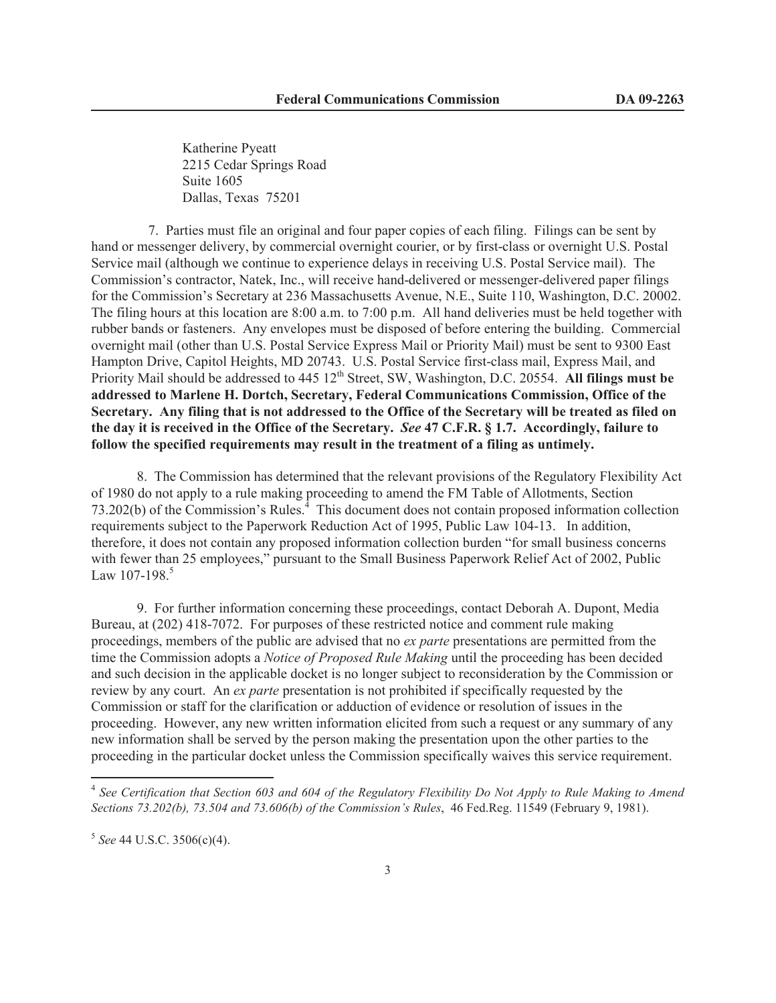Katherine Pyeatt 2215 Cedar Springs Road Suite 1605 Dallas, Texas 75201

7. Parties must file an original and four paper copies of each filing. Filings can be sent by hand or messenger delivery, by commercial overnight courier, or by first-class or overnight U.S. Postal Service mail (although we continue to experience delays in receiving U.S. Postal Service mail). The Commission's contractor, Natek, Inc., will receive hand-delivered or messenger-delivered paper filings for the Commission's Secretary at 236 Massachusetts Avenue, N.E., Suite 110, Washington, D.C. 20002. The filing hours at this location are 8:00 a.m. to 7:00 p.m. All hand deliveries must be held together with rubber bands or fasteners. Any envelopes must be disposed of before entering the building. Commercial overnight mail (other than U.S. Postal Service Express Mail or Priority Mail) must be sent to 9300 East Hampton Drive, Capitol Heights, MD 20743. U.S. Postal Service first-class mail, Express Mail, and Priority Mail should be addressed to 445 12<sup>th</sup> Street, SW, Washington, D.C. 20554. All filings must be **addressed to Marlene H. Dortch, Secretary, Federal Communications Commission, Office of the Secretary. Any filing that is not addressed to the Office of the Secretary will be treated as filed on the day it is received in the Office of the Secretary.** *See* **47 C.F.R. § 1.7. Accordingly, failure to follow the specified requirements may result in the treatment of a filing as untimely.** 

8. The Commission has determined that the relevant provisions of the Regulatory Flexibility Act of 1980 do not apply to a rule making proceeding to amend the FM Table of Allotments, Section 73.202(b) of the Commission's Rules.<sup>4</sup> This document does not contain proposed information collection requirements subject to the Paperwork Reduction Act of 1995, Public Law 104-13. In addition, therefore, it does not contain any proposed information collection burden "for small business concerns with fewer than 25 employees," pursuant to the Small Business Paperwork Relief Act of 2002, Public Law  $107 - 198$ <sup>5</sup>

9. For further information concerning these proceedings, contact Deborah A. Dupont, Media Bureau, at (202) 418-7072. For purposes of these restricted notice and comment rule making proceedings, members of the public are advised that no *ex parte* presentations are permitted from the time the Commission adopts a *Notice of Proposed Rule Making* until the proceeding has been decided and such decision in the applicable docket is no longer subject to reconsideration by the Commission or review by any court. An *ex parte* presentation is not prohibited if specifically requested by the Commission or staff for the clarification or adduction of evidence or resolution of issues in the proceeding. However, any new written information elicited from such a request or any summary of any new information shall be served by the person making the presentation upon the other parties to the proceeding in the particular docket unless the Commission specifically waives this service requirement.

<sup>&</sup>lt;sup>4</sup> See Certification that Section 603 and 604 of the Regulatory Flexibility Do Not Apply to Rule Making to Amend *Sections 73.202(b), 73.504 and 73.606(b) of the Commission's Rules*, 46 Fed.Reg. 11549 (February 9, 1981).

<sup>5</sup> *See* 44 U.S.C. 3506(c)(4).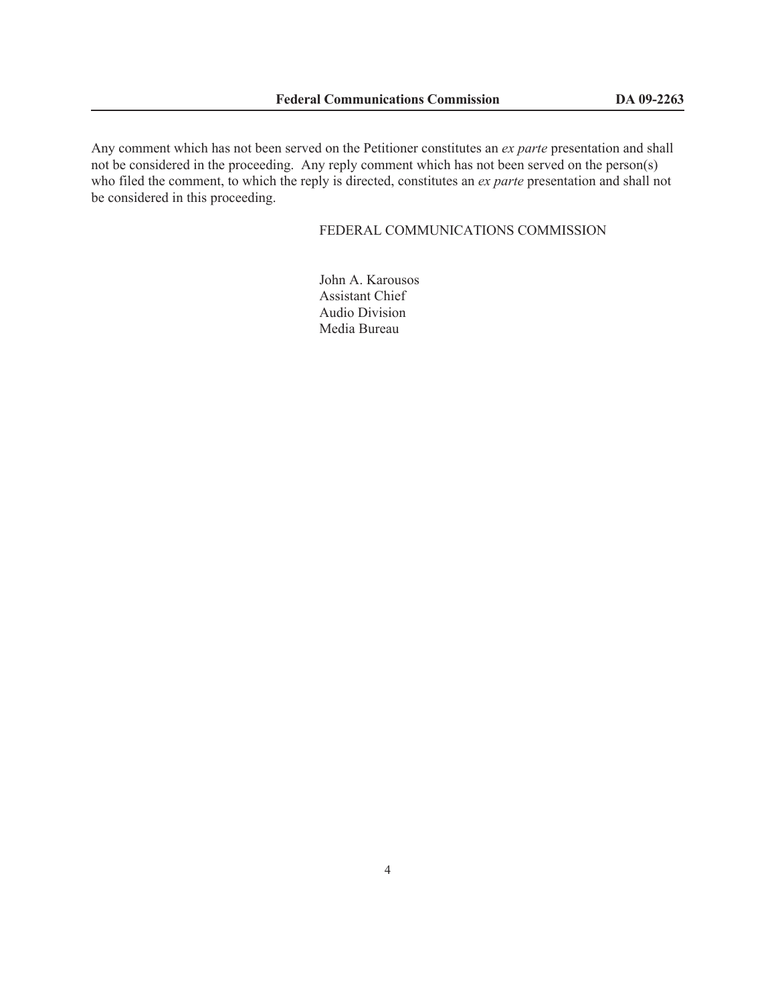Any comment which has not been served on the Petitioner constitutes an *ex parte* presentation and shall not be considered in the proceeding. Any reply comment which has not been served on the person(s) who filed the comment, to which the reply is directed, constitutes an *ex parte* presentation and shall not be considered in this proceeding.

# FEDERAL COMMUNICATIONS COMMISSION

John A. Karousos Assistant Chief Audio Division Media Bureau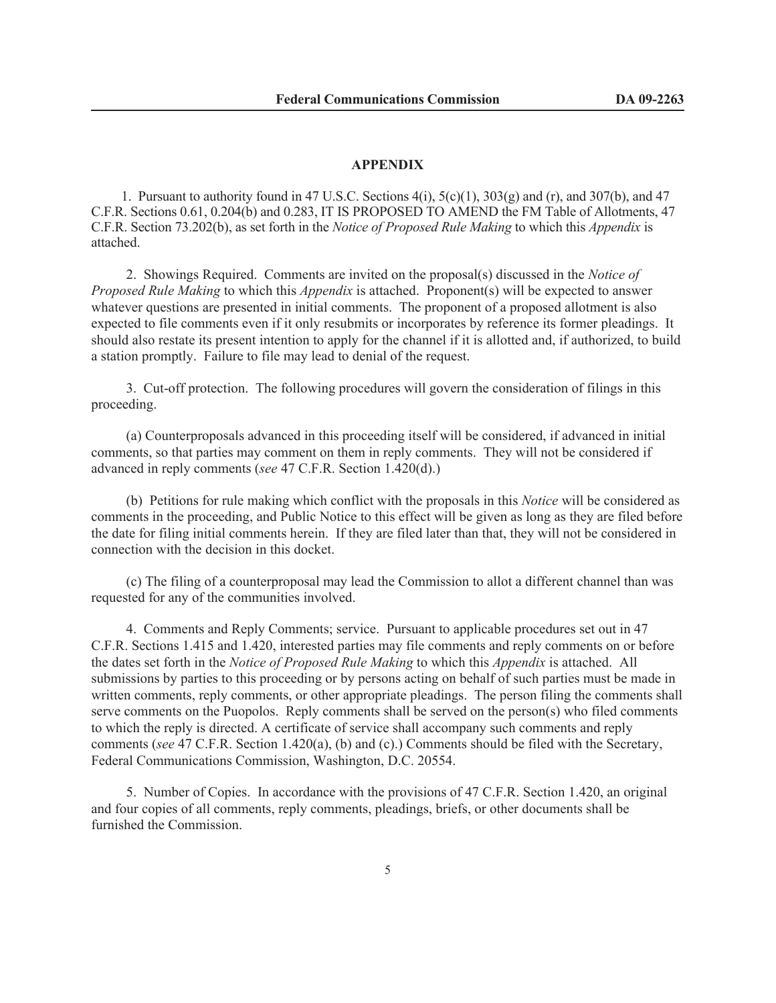#### **APPENDIX**

1. Pursuant to authority found in 47 U.S.C. Sections  $4(i)$ ,  $5(c)(1)$ ,  $303(g)$  and (r), and  $307(b)$ , and  $47$ C.F.R. Sections 0.61, 0.204(b) and 0.283, IT IS PROPOSED TO AMEND the FM Table of Allotments, 47 C.F.R. Section 73.202(b), as set forth in the *Notice of Proposed Rule Making* to which this *Appendix* is attached.

2. Showings Required. Comments are invited on the proposal(s) discussed in the *Notice of Proposed Rule Making* to which this *Appendix* is attached. Proponent(s) will be expected to answer whatever questions are presented in initial comments. The proponent of a proposed allotment is also expected to file comments even if it only resubmits or incorporates by reference its former pleadings. It should also restate its present intention to apply for the channel if it is allotted and, if authorized, to build a station promptly. Failure to file may lead to denial of the request.

3. Cut-off protection. The following procedures will govern the consideration of filings in this proceeding.

(a) Counterproposals advanced in this proceeding itself will be considered, if advanced in initial comments, so that parties may comment on them in reply comments. They will not be considered if advanced in reply comments (*see* 47 C.F.R. Section 1.420(d).)

(b) Petitions for rule making which conflict with the proposals in this *Notice* will be considered as comments in the proceeding, and Public Notice to this effect will be given as long as they are filed before the date for filing initial comments herein. If they are filed later than that, they will not be considered in connection with the decision in this docket.

(c) The filing of a counterproposal may lead the Commission to allot a different channel than was requested for any of the communities involved.

4. Comments and Reply Comments; service. Pursuant to applicable procedures set out in 47 C.F.R. Sections 1.415 and 1.420, interested parties may file comments and reply comments on or before the dates set forth in the *Notice of Proposed Rule Making* to which this *Appendix* is attached. All submissions by parties to this proceeding or by persons acting on behalf of such parties must be made in written comments, reply comments, or other appropriate pleadings. The person filing the comments shall serve comments on the Puopolos. Reply comments shall be served on the person(s) who filed comments to which the reply is directed. A certificate of service shall accompany such comments and reply comments (*see* 47 C.F.R. Section 1.420(a), (b) and (c).) Comments should be filed with the Secretary, Federal Communications Commission, Washington, D.C. 20554.

5. Number of Copies. In accordance with the provisions of 47 C.F.R. Section 1.420, an original and four copies of all comments, reply comments, pleadings, briefs, or other documents shall be furnished the Commission.